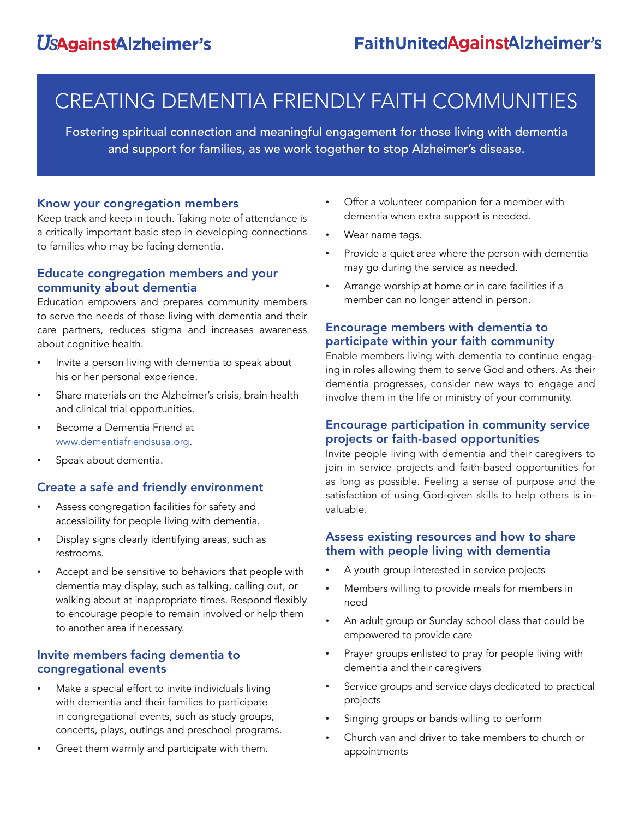# CREATING DEMENTIA FRIENDLY FAITH COMMUNITIES

Fostering spiritual connection and meaningful engagement for those living with dementia and support for families, as we work together to stop Alzheimer's disease.

### Know your congregation members

Keep track and keep in touch. Taking note of attendance is a critically important basic step in developing connections to families who may be facing dementia.

## Educate congregation members and your community about dementia

Education empowers and prepares community members to serve the needs of those living with dementia and their care partners, reduces stigma and increases awareness about cognitive health.

- Invite a person living with dementia to speak about his or her personal experience.
- Share materials on the Alzheimer's crisis, brain health and clinical trial opportunities.
- Become a Dementia Friend at www.dementiafriendsusa.org.
- Speak about dementia.

# Create a safe and friendly environment

- Assess congregation facilities for safety and accessibility for people living with dementia.
- Display signs clearly identifying areas, such as restrooms.
- Accept and be sensitive to behaviors that people with dementia may display, such as talking, calling out, or walking about at inappropriate times. Respond flexibly to encourage people to remain involved or help them to another area if necessary.

# Invite members facing dementia to congregational events

- Make a special effort to invite individuals living with dementia and their families to participate in congregational events, such as study groups, concerts, plays, outings and preschool programs.
- Greet them warmly and participate with them.
- Offer a volunteer companion for a member with dementia when extra support is needed.
- Wear name tags.
- Provide a quiet area where the person with dementia may go during the service as needed.
- Arrange worship at home or in care facilities if a member can no longer attend in person.

# Encourage members with dementia to participate within your faith community

Enable members living with dementia to continue engaging in roles allowing them to serve God and others. As their dementia progresses, consider new ways to engage and involve them in the life or ministry of your community.

# Encourage participation in community service projects or faith-based opportunities

Invite people living with dementia and their caregivers to join in service projects and faith-based opportunities for as long as possible. Feeling a sense of purpose and the satisfaction of using God-given skills to help others is invaluable.

# Assess existing resources and how to share them with people living with dementia

- A youth group interested in service projects
- Members willing to provide meals for members in need
- An adult group or Sunday school class that could be empowered to provide care
- Prayer groups enlisted to pray for people living with dementia and their caregivers
- Service groups and service days dedicated to practical projects
- Singing groups or bands willing to perform
- Church van and driver to take members to church or appointments